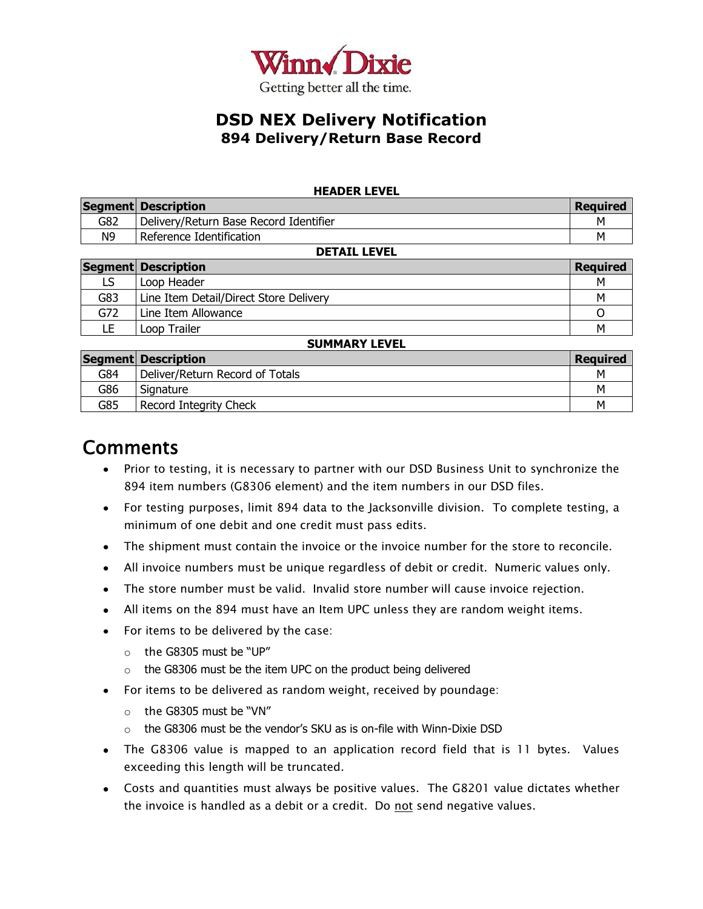

#### **HEADER LEVEL**

|                                            | Segment Description                    | <b>Required</b> |  |  |  |  |  |  |
|--------------------------------------------|----------------------------------------|-----------------|--|--|--|--|--|--|
| G82                                        | Delivery/Return Base Record Identifier |                 |  |  |  |  |  |  |
| N <sub>9</sub><br>Reference Identification |                                        |                 |  |  |  |  |  |  |
| NETATI I EVEI                              |                                        |                 |  |  |  |  |  |  |

|     | PLIAIL LLVLL                           |                 |  |  |  |  |  |  |  |  |
|-----|----------------------------------------|-----------------|--|--|--|--|--|--|--|--|
|     | Segment Description                    | <b>Required</b> |  |  |  |  |  |  |  |  |
| LS  | Loop Header                            | M               |  |  |  |  |  |  |  |  |
| G83 | Line Item Detail/Direct Store Delivery | M               |  |  |  |  |  |  |  |  |
| G72 | Line Item Allowance                    |                 |  |  |  |  |  |  |  |  |
| LE  | Loop Trailer                           | M               |  |  |  |  |  |  |  |  |

#### **SUMMARY LEVEL**

|     | Segment Description             | <b>Reguired</b> |
|-----|---------------------------------|-----------------|
| G84 | Deliver/Return Record of Totals | M               |
| G86 | Signature                       | M               |
| G85 | Record Integrity Check          | м               |

## **Comments**

- Prior to testing, it is necessary to partner with our DSD Business Unit to synchronize the 894 item numbers (G8306 element) and the item numbers in our DSD files.
- For testing purposes, limit 894 data to the Jacksonville division. To complete testing, a minimum of one debit and one credit must pass edits.
- The shipment must contain the invoice or the invoice number for the store to reconcile.
- All invoice numbers must be unique regardless of debit or credit. Numeric values only.
- The store number must be valid. Invalid store number will cause invoice rejection.
- All items on the 894 must have an Item UPC unless they are random weight items.
- For items to be delivered by the case:
	- o the G8305 must be "UP"
	- o the G8306 must be the item UPC on the product being delivered
- For items to be delivered as random weight, received by poundage:
	- o the G8305 must be "VN"
	- o the G8306 must be the vendor"s SKU as is on-file with Winn-Dixie DSD
- The G8306 value is mapped to an application record field that is 11 bytes. Values exceeding this length will be truncated.
- Costs and quantities must always be positive values. The G8201 value dictates whether the invoice is handled as a debit or a credit. Do not send negative values.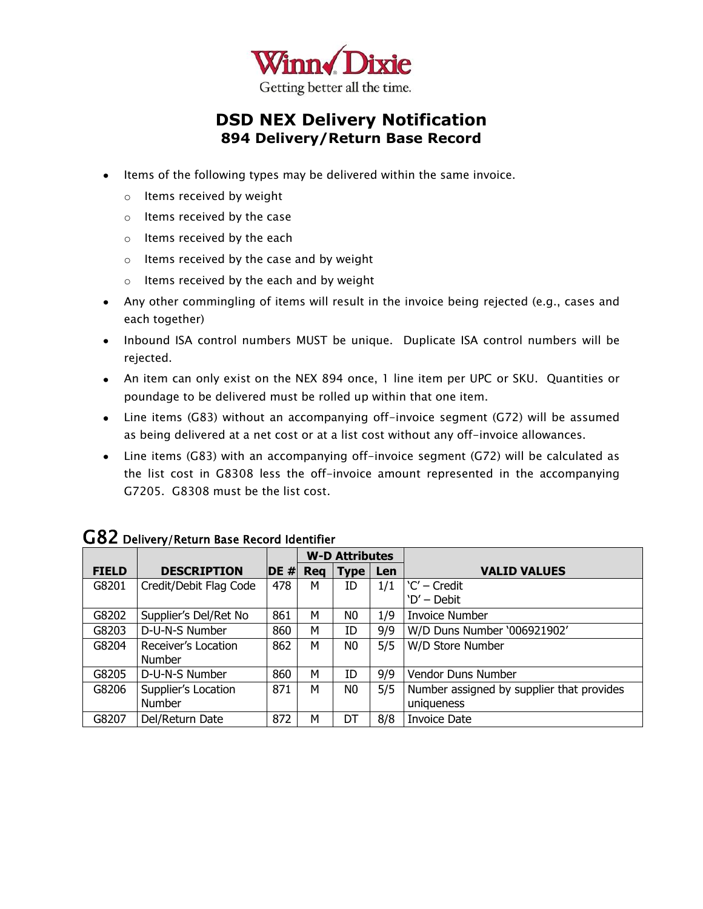

- Items of the following types may be delivered within the same invoice.
	- o Items received by weight
	- o Items received by the case
	- o Items received by the each
	- o Items received by the case and by weight
	- o Items received by the each and by weight
- Any other commingling of items will result in the invoice being rejected (e.g., cases and each together)
- Inbound ISA control numbers MUST be unique. Duplicate ISA control numbers will be rejected.
- An item can only exist on the NEX 894 once, 1 line item per UPC or SKU. Quantities or poundage to be delivered must be rolled up within that one item.
- Line items (G83) without an accompanying off-invoice segment (G72) will be assumed as being delivered at a net cost or at a list cost without any off-invoice allowances.
- Line items (G83) with an accompanying off-invoice segment (G72) will be calculated as the list cost in G8308 less the off-invoice amount represented in the accompanying G7205. G8308 must be the list cost.

|              |                        |        |            | <b>W-D Attributes</b> |     |                                           |
|--------------|------------------------|--------|------------|-----------------------|-----|-------------------------------------------|
| <b>FIELD</b> | <b>DESCRIPTION</b>     | $DE$ # | <b>Req</b> | <b>Type</b>           | Len | <b>VALID VALUES</b>                       |
| G8201        | Credit/Debit Flag Code | 478    | м          | ID                    | 1/1 | 'C' – Credit                              |
|              |                        |        |            |                       |     | 'D' – Debit                               |
| G8202        | Supplier's Del/Ret No  | 861    | м          | N0                    | 1/9 | <b>Invoice Number</b>                     |
| G8203        | D-U-N-S Number         | 860    | м          | ID                    | 9/9 | W/D Duns Number '006921902'               |
| G8204        | Receiver's Location    | 862    | м          | N0                    | 5/5 | W/D Store Number                          |
|              | <b>Number</b>          |        |            |                       |     |                                           |
| G8205        | D-U-N-S Number         | 860    | м          | ID                    | 9/9 | Vendor Duns Number                        |
| G8206        | Supplier's Location    | 871    | м          | N0                    | 5/5 | Number assigned by supplier that provides |
|              | <b>Number</b>          |        |            |                       |     | uniqueness                                |
| G8207        | Del/Return Date        | 872    | м          | DT                    | 8/8 | <b>Invoice Date</b>                       |

## G82 Delivery/Return Base Record Identifier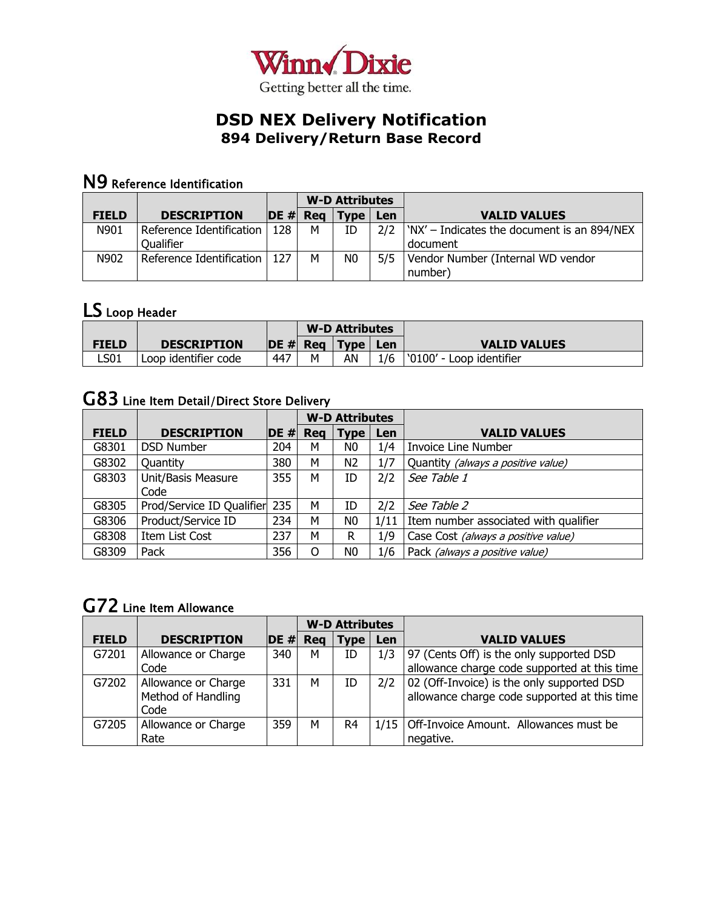

## N9 Reference Identification

|              |                                       |        | <b>W-D Attributes</b> |                |     |                                                         |
|--------------|---------------------------------------|--------|-----------------------|----------------|-----|---------------------------------------------------------|
| <b>FIELD</b> | <b>DESCRIPTION</b>                    | $DE$ # | Rea                   | <b>Type</b>    | Len | <b>VALID VALUES</b>                                     |
| N901         | Reference Identification<br>Qualifier | 128    | м                     | ID             | 2/2 | 'NX' - Indicates the document is an 894/NEX<br>document |
| N902         | Reference Identification              | 127    | м                     | N <sub>0</sub> | 5/5 | Vendor Number (Internal WD vendor<br>number)            |

## LS Loop Header

|              |                      |     |             | <b>W-D Attributes</b> |     |                          |
|--------------|----------------------|-----|-------------|-----------------------|-----|--------------------------|
| <b>FIELD</b> | <b>DESCRIPTION</b>   |     | $ DE# $ Reg | Type                  | Len | <b>VALID VALUES</b>      |
| LS01         | Loop identifier code | 447 | м           | AN                    | 1/6 | '0100' - Loop identifier |

# G83 Line Item Detail/Direct Store Delivery

|              |                               |        |     | <b>W-D Attributes</b> |      |                                       |
|--------------|-------------------------------|--------|-----|-----------------------|------|---------------------------------------|
| <b>FIELD</b> | <b>DESCRIPTION</b>            | $DE$ # | Req | <b>Type</b>           | Len  | <b>VALID VALUES</b>                   |
| G8301        | <b>DSD Number</b>             | 204    | М   | N0                    | 1/4  | <b>Invoice Line Number</b>            |
| G8302        | Quantity                      | 380    | М   | N <sub>2</sub>        | 1/7  | Quantity (always a positive value)    |
| G8303        | Unit/Basis Measure            | 355    | м   | ID                    | 2/2  | See Table 1                           |
|              | Code                          |        |     |                       |      |                                       |
| G8305        | Prod/Service ID Qualifier 235 |        | М   | ID                    | 2/2  | See Table 2                           |
| G8306        | Product/Service ID            | 234    | М   | N <sub>0</sub>        | 1/11 | Item number associated with qualifier |
| G8308        | Item List Cost                | 237    | М   | R                     | 1/9  | Case Cost (always a positive value)   |
| G8309        | Pack                          | 356    | O   | N0                    | 1/6  | Pack (always a positive value)        |

## G72 Line Item Allowance

|              |                     |        |            | <b>W-D Attributes</b> |     |                                               |
|--------------|---------------------|--------|------------|-----------------------|-----|-----------------------------------------------|
| <b>FIELD</b> | <b>DESCRIPTION</b>  | $DE$ # | <b>Reg</b> | Type                  | Len | <b>VALID VALUES</b>                           |
| G7201        | Allowance or Charge | 340    | M          | ID                    | 1/3 | 97 (Cents Off) is the only supported DSD      |
|              | Code                |        |            |                       |     | allowance charge code supported at this time  |
| G7202        | Allowance or Charge | 331    | м          | ID                    | 2/2 | 02 (Off-Invoice) is the only supported DSD    |
|              | Method of Handling  |        |            |                       |     | allowance charge code supported at this time  |
|              | Code                |        |            |                       |     |                                               |
| G7205        | Allowance or Charge | 359    | м          | R4                    |     | 1/15   Off-Invoice Amount. Allowances must be |
|              | Rate                |        |            |                       |     | negative.                                     |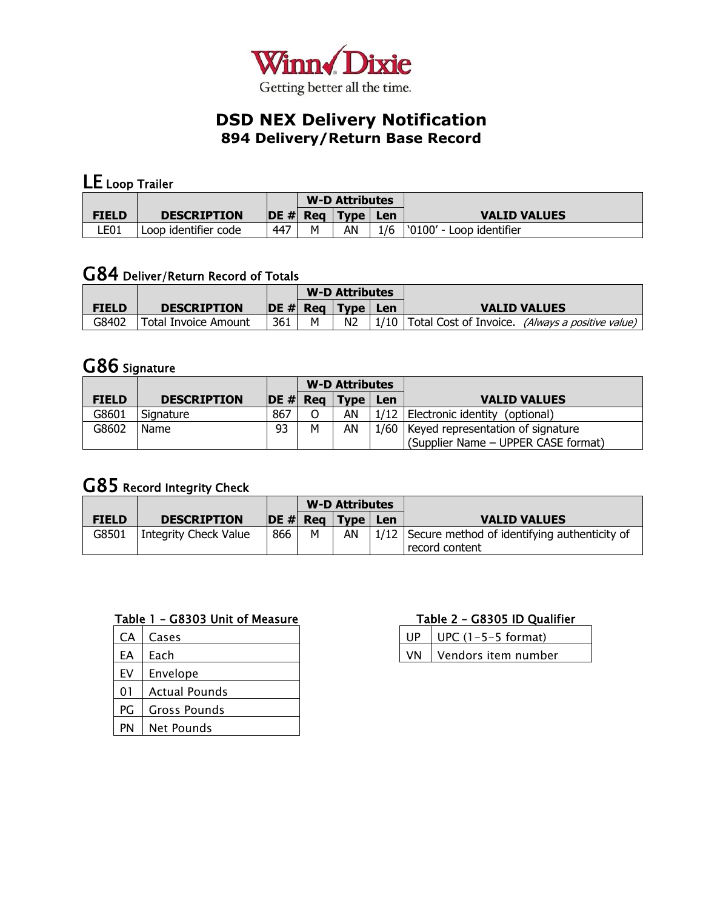

# LE Loop Trailer

|              |                      |     | <b>W-D Attributes</b> |                                          |     |                          |
|--------------|----------------------|-----|-----------------------|------------------------------------------|-----|--------------------------|
| <b>FIELD</b> | <b>DESCRIPTION</b>   |     | $\overline{DE}$ # Reg | $^{\blacksquare}$ Type $_{\blacksquare}$ | Len | <b>VALID VALUES</b>      |
| LE01         | Loop identifier code | 447 | м                     | ΑN                                       | 1/6 | '0100' - Loop identifier |

## G84 Deliver/Return Record of Totals

|              |                             |     |   | <b>W-D Attributes</b> |     |                                                         |
|--------------|-----------------------------|-----|---|-----------------------|-----|---------------------------------------------------------|
| <b>FIELD</b> | <b>DESCRIPTION</b>          |     |   | $ DE # $ Reg   Type   | Len | <b>VALID VALUES</b>                                     |
| G8402        | <b>Total Invoice Amount</b> | 361 | м | N <sub>2</sub>        |     | 1/10   Total Cost of Invoice. (Always a positive value) |

## G86 Signature

|              |                    |             | <b>W-D Attributes</b> |                                   |     |                                          |
|--------------|--------------------|-------------|-----------------------|-----------------------------------|-----|------------------------------------------|
| <b>FIELD</b> | <b>DESCRIPTION</b> | $ DE# $ Reg |                       | $\blacktriangle$ Type $^{\prime}$ | Len | <b>VALID VALUES</b>                      |
| G8601        | Signature          | 867         |                       | AN                                |     | 1/12   Electronic identity (optional)    |
| G8602        | Name               | 93          | м                     | AN                                |     | 1/60   Keyed representation of signature |
|              |                    |             |                       |                                   |     | (Supplier Name - UPPER CASE format)      |

# G85 Record Integrity Check

|              |                       |                       | <b>W-D Attributes</b> |              |     |                                                                     |
|--------------|-----------------------|-----------------------|-----------------------|--------------|-----|---------------------------------------------------------------------|
| <b>FIELD</b> | <b>DESCRIPTION</b>    | $\overline{DE}$ # Reg |                       | $ $ Type $ $ | Len | <b>VALID VALUES</b>                                                 |
| G8501        | Integrity Check Value | 866                   | м                     | AN           |     | 1/12 Secure method of identifying authenticity of<br>record content |

#### Table 1 – G8303 Unit of Measure

| CA | Cases               |
|----|---------------------|
| EA | Each                |
| EV | Envelope            |
| 01 | Actual Pounds       |
| PG | <b>Gross Pounds</b> |
| PN | Net Pounds          |

#### Table 2 – G8305 ID Qualifier

| $\vert$ UP $\vert$ UPC (1-5-5 format) |
|---------------------------------------|
| VN Vendors item number                |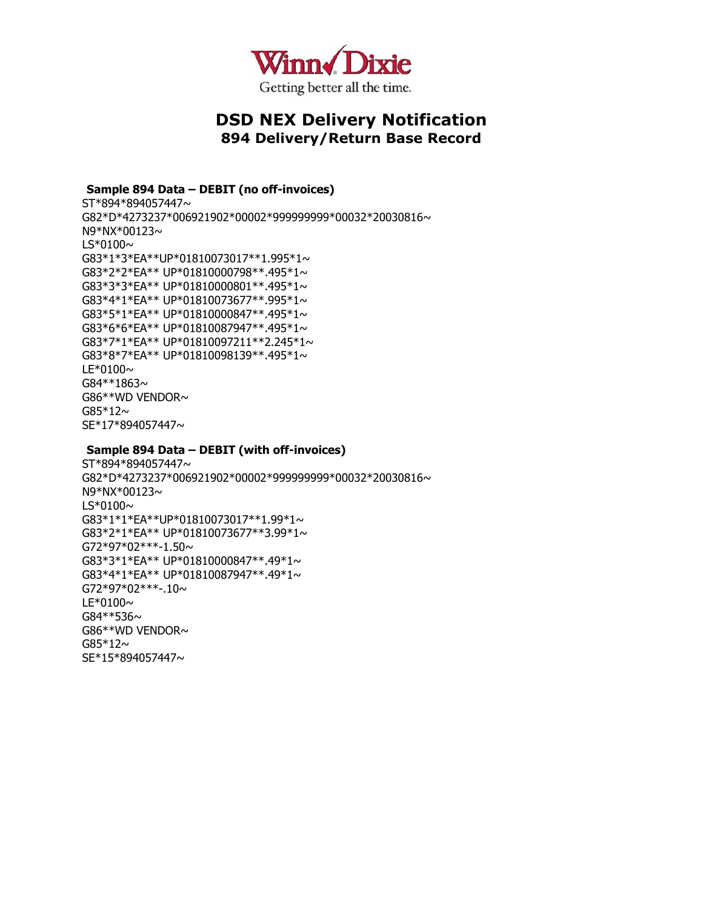

**Sample 894 Data – DEBIT (no off-invoices)** ST\*894\*894057447~ G82\*D\*4273237\*006921902\*00002\*999999999\*00032\*20030816~ N9\*NX\*00123~  $LS*0100\sim$ G83\*1\*3\*EA\*\*UP\*01810073017\*\*1.995\*1~ G83\*2\*2\*EA\*\* UP\*01810000798\*\*.495\*1~ G83\*3\*3\*EA\*\* UP\*01810000801\*\*.495\*1~ G83\*4\*1\*EA\*\* UP\*01810073677\*\*.995\*1~ G83\*5\*1\*EA\*\* UP\*01810000847\*\*.495\*1~ G83\*6\*6\*EA\*\* UP\*01810087947\*\*.495\*1~ G83\*7\*1\*EA\*\* UP\*01810097211\*\*2.245\*1~ G83\*8\*7\*EA\*\* UP\*01810098139\*\*.495\*1~  $LE*0100 \sim$ G84\*\*1863~ G86\*\*WD VENDOR~  $G85*12~$ SE\*17\*894057447~

#### **Sample 894 Data – DEBIT (with off-invoices)**

ST\*894\*894057447~ G82\*D\*4273237\*006921902\*00002\*999999999\*00032\*20030816~ N9\*NX\*00123~  $LS*0100\sim$ G83\*1\*1\*EA\*\*UP\*01810073017\*\*1.99\*1~ G83\*2\*1\*EA\*\* UP\*01810073677\*\*3.99\*1~  $G72*97*02***-1.50~$ G83\*3\*1\*EA\*\* UP\*01810000847\*\*.49\*1~ G83\*4\*1\*EA\*\* UP\*01810087947\*\*.49\*1~  $G72*97*02***-10~$  $LE*0100\sim$ G84\*\*536~ G86\*\*WD VENDOR~  $G85*12~$ SE\*15\*894057447~